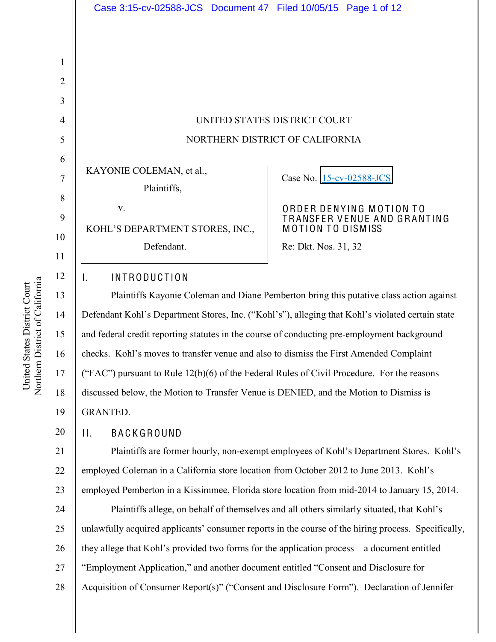|                     | Case 3:15-cv-02588-JCS Document 47 Filed 10/05/15 Page 1 of 12                                      |                                                        |  |  |  |
|---------------------|-----------------------------------------------------------------------------------------------------|--------------------------------------------------------|--|--|--|
|                     |                                                                                                     |                                                        |  |  |  |
|                     |                                                                                                     |                                                        |  |  |  |
| $\mathbf{1}$        |                                                                                                     |                                                        |  |  |  |
| $\overline{2}$      |                                                                                                     |                                                        |  |  |  |
| 3                   |                                                                                                     |                                                        |  |  |  |
| $\overline{4}$      | UNITED STATES DISTRICT COURT                                                                        |                                                        |  |  |  |
| 5                   | NORTHERN DISTRICT OF CALIFORNIA                                                                     |                                                        |  |  |  |
| 6<br>$\overline{7}$ | KAYONIE COLEMAN, et al.,<br>Plaintiffs,                                                             | Case No. 15-cv-02588-JCS                               |  |  |  |
| 8                   |                                                                                                     |                                                        |  |  |  |
| 9                   | V.                                                                                                  | ORDER DENYING MOTION TO<br>TRANSFER VENUE AND GRANTING |  |  |  |
| 10                  | KOHL'S DEPARTMENT STORES, INC.,                                                                     | <b>MOTION TO DISMISS</b>                               |  |  |  |
| 11                  | Defendant.                                                                                          | Re: Dkt. Nos. 31, 32                                   |  |  |  |
| 12                  | <b>INTRODUCTION</b><br>Ι.                                                                           |                                                        |  |  |  |
| 13                  | Plaintiffs Kayonie Coleman and Diane Pemberton bring this putative class action against             |                                                        |  |  |  |
| 14                  | Defendant Kohl's Department Stores, Inc. ("Kohl's"), alleging that Kohl's violated certain state    |                                                        |  |  |  |
| 15                  | and federal credit reporting statutes in the course of conducting pre-employment background         |                                                        |  |  |  |
| 16                  | checks. Kohl's moves to transfer venue and also to dismiss the First Amended Complaint              |                                                        |  |  |  |
| 17                  | ("FAC") pursuant to Rule 12(b)(6) of the Federal Rules of Civil Procedure. For the reasons          |                                                        |  |  |  |
| 18                  | discussed below, the Motion to Transfer Venue is DENIED, and the Motion to Dismiss is               |                                                        |  |  |  |
| 19                  | <b>GRANTED.</b>                                                                                     |                                                        |  |  |  |
| 20                  | <b>BACKGROUND</b><br>$\prod_{i=1}^{n}$                                                              |                                                        |  |  |  |
| 21                  | Plaintiffs are former hourly, non-exempt employees of Kohl's Department Stores. Kohl's              |                                                        |  |  |  |
| 22                  | employed Coleman in a California store location from October 2012 to June 2013. Kohl's              |                                                        |  |  |  |
| 23                  | employed Pemberton in a Kissimmee, Florida store location from mid-2014 to January 15, 2014.        |                                                        |  |  |  |
| 24                  | Plaintiffs allege, on behalf of themselves and all others similarly situated, that Kohl's           |                                                        |  |  |  |
| 25                  | unlawfully acquired applicants' consumer reports in the course of the hiring process. Specifically, |                                                        |  |  |  |
| 26                  | they allege that Kohl's provided two forms for the application process—a document entitled          |                                                        |  |  |  |
| 27                  | "Employment Application," and another document entitled "Consent and Disclosure for                 |                                                        |  |  |  |

Acquisition of Consumer Report(s)" ("Consent and Disclosure Form"). Declaration of Jennifer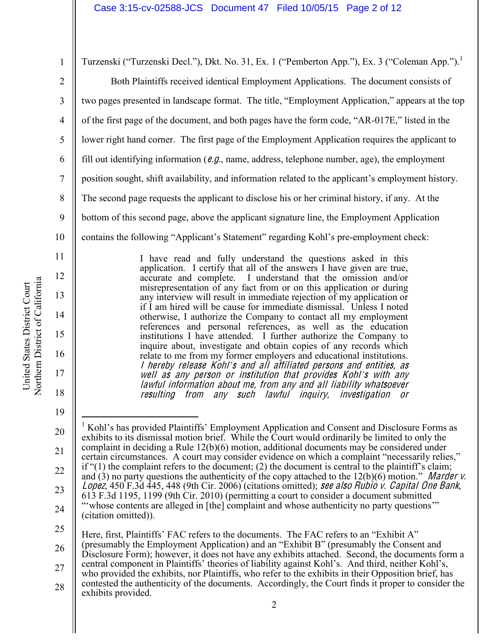Northern District of California Northern District of California United States District Court United States District Court

12

13

14

15

16

17

18

19

1 2 3 4 5 6 7 8 9 10 11 Turzenski ("Turzenski Decl."), Dkt. No. 31, Ex. 1 ("Pemberton App."), Ex. 3 ("Coleman App.").<sup>1</sup> Both Plaintiffs received identical Employment Applications. The document consists of two pages presented in landscape format. The title, "Employment Application," appears at the top of the first page of the document, and both pages have the form code, "AR-017E," listed in the lower right hand corner. The first page of the Employment Application requires the applicant to fill out identifying information ( $e.g.,$  name, address, telephone number, age), the employment position sought, shift availability, and information related to the applicant's employment history. The second page requests the applicant to disclose his or her criminal history, if any. At the bottom of this second page, above the applicant signature line, the Employment Application contains the following "Applicant's Statement" regarding Kohl's pre-employment check:

I have read and fully understand the questions asked in this application. I certify that all of the answers I have given are true, accurate and complete. I understand that the omission and/or misrepresentation of any fact from or on this application or during any interview will result in immediate rejection of my application or if I am hired will be cause for immediate dismissal. Unless I noted otherwise, I authorize the Company to contact all my employment references and personal references, as well as the education institutions I have attended. I further authorize the Company to inquire about, investigate and obtain copies of any records which relate to me from my former employers and educational institutions. I her<sup>e</sup>by <sup>r</sup>eleas<sup>e</sup> Kohl*¶*<sup>s</sup> and all <sup>a</sup>ffiliated person<sup>s</sup> and <sup>e</sup>ntities, <sup>a</sup><sup>s</sup> <sup>w</sup>ell <sup>a</sup><sup>s</sup> any person or institution <sup>t</sup>ha<sup>t</sup> provide<sup>s</sup> Kohl*¶*<sup>s</sup> with any lawful information about <sup>m</sup>e, from any and all liability whatsoeve<sup>r</sup> <sup>r</sup>esulting from any <sup>s</sup>uch lawful inquiry, investigation or

20 21 22 23 24 Kohl's has provided Plaintiffs' Employment Application and Consent and Disclosure Forms as exhibits to its dismissal motion brief. While the Court would ordinarily be limited to only the complaint in deciding a Rule 12(b)(6) motion, additional documents may be considered under certain circumstances. A court may consider evidence on which a complaint "necessarily relies," if " $(1)$  the complaint refers to the document;  $(2)$  the document is central to the plaintiff's claim; and (3) no party questions the authenticity of the copy attached to the  $12(b)(6)$  motion.<sup>"</sup> Marder v. Lopez, 450 F.3d 445, 448 (9th Cir. 2006) (citations omitted); see also Rubio v. Capital One Bank, 613 F.3d 1195, 1199 (9th Cir. 2010) (permitting a court to consider a document submitted "whose contents are alleged in [the] complaint and whose authenticity no party questions" (citation omitted)).

25

26 Here, first, Plaintiffs' FAC refers to the documents. The FAC refers to an "Exhibit A" (presumably the Employment Application) and an "Exhibit B" (presumably the Consent and Disclosure Form); however, it does not have any exhibits attached. Second, the documents form a

- 27 28 central component in Plaintiffs' theories of liability against Kohl's. And third, neither Kohl's, who provided the exhibits, nor Plaintiffs, who refer to the exhibits in their Opposition brief, has contested the authenticity of the documents. Accordingly, the Court finds it proper to consider the exhibits provided.
	-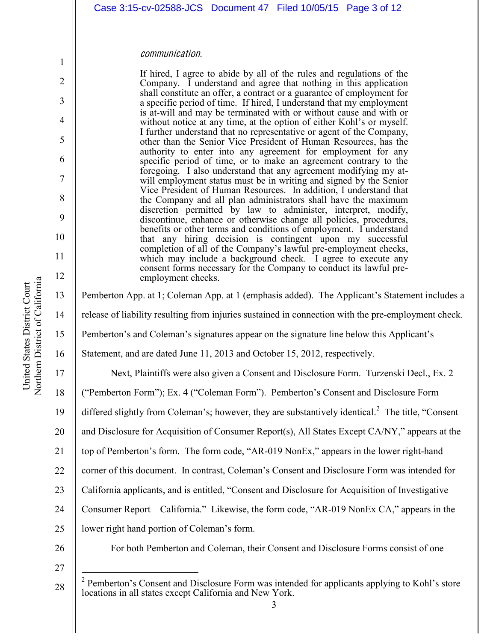|                                                                                                               |                    |  | Case 3:15-cv-02588-JCS Document 47 Filed 10/05/15 Page 3 of 12                                                                                                                                                                                                                                                                                                                                                                                                                                                                                                                                                                                                                                                                                                                                                                                                                                                                                                                                                                                                                                                                                                                                                                                                                                                                                                                                                                                                                                  |                                                                                                           |  |
|---------------------------------------------------------------------------------------------------------------|--------------------|--|-------------------------------------------------------------------------------------------------------------------------------------------------------------------------------------------------------------------------------------------------------------------------------------------------------------------------------------------------------------------------------------------------------------------------------------------------------------------------------------------------------------------------------------------------------------------------------------------------------------------------------------------------------------------------------------------------------------------------------------------------------------------------------------------------------------------------------------------------------------------------------------------------------------------------------------------------------------------------------------------------------------------------------------------------------------------------------------------------------------------------------------------------------------------------------------------------------------------------------------------------------------------------------------------------------------------------------------------------------------------------------------------------------------------------------------------------------------------------------------------------|-----------------------------------------------------------------------------------------------------------|--|
|                                                                                                               |                    |  |                                                                                                                                                                                                                                                                                                                                                                                                                                                                                                                                                                                                                                                                                                                                                                                                                                                                                                                                                                                                                                                                                                                                                                                                                                                                                                                                                                                                                                                                                                 |                                                                                                           |  |
|                                                                                                               | communication.     |  |                                                                                                                                                                                                                                                                                                                                                                                                                                                                                                                                                                                                                                                                                                                                                                                                                                                                                                                                                                                                                                                                                                                                                                                                                                                                                                                                                                                                                                                                                                 |                                                                                                           |  |
|                                                                                                               | employment checks. |  | If hired, I agree to abide by all of the rules and regulations of the<br>Company. I understand and agree that nothing in this application<br>shall constitute an offer, a contract or a guarantee of employment for<br>a specific period of time. If hired, I understand that my employment<br>is at-will and may be terminated with or without cause and with or<br>without notice at any time, at the option of either Kohl's or myself.<br>I further understand that no representative or agent of the Company,<br>other than the Senior Vice President of Human Resources, has the<br>authority to enter into any agreement for employment for any<br>specific period of time, or to make an agreement contrary to the<br>foregoing. I also understand that any agreement modifying my at-<br>will employment status must be in writing and signed by the Senior<br>Vice President of Human Resources. In addition, I understand that<br>the Company and all plan administrators shall have the maximum<br>discretion permitted by law to administer, interpret, modify,<br>discontinue, enhance or otherwise change all policies, procedures,<br>benefits or other terms and conditions of employment. I understand<br>that any hiring decision is contingent upon my successful<br>completion of all of the Company's lawful pre-employment checks,<br>which may include a background check. I agree to execute any<br>consent forms necessary for the Company to conduct its lawful pre- |                                                                                                           |  |
|                                                                                                               |                    |  |                                                                                                                                                                                                                                                                                                                                                                                                                                                                                                                                                                                                                                                                                                                                                                                                                                                                                                                                                                                                                                                                                                                                                                                                                                                                                                                                                                                                                                                                                                 | Pemberton App. at 1; Coleman App. at 1 (emphasis added). The Applicant's Statement includes a             |  |
| release of liability resulting from injuries sustained in connection with the pre-employment check.           |                    |  |                                                                                                                                                                                                                                                                                                                                                                                                                                                                                                                                                                                                                                                                                                                                                                                                                                                                                                                                                                                                                                                                                                                                                                                                                                                                                                                                                                                                                                                                                                 |                                                                                                           |  |
| Pemberton's and Coleman's signatures appear on the signature line below this Applicant's                      |                    |  |                                                                                                                                                                                                                                                                                                                                                                                                                                                                                                                                                                                                                                                                                                                                                                                                                                                                                                                                                                                                                                                                                                                                                                                                                                                                                                                                                                                                                                                                                                 |                                                                                                           |  |
| Statement, and are dated June 11, 2013 and October 15, 2012, respectively.                                    |                    |  |                                                                                                                                                                                                                                                                                                                                                                                                                                                                                                                                                                                                                                                                                                                                                                                                                                                                                                                                                                                                                                                                                                                                                                                                                                                                                                                                                                                                                                                                                                 |                                                                                                           |  |
|                                                                                                               |                    |  |                                                                                                                                                                                                                                                                                                                                                                                                                                                                                                                                                                                                                                                                                                                                                                                                                                                                                                                                                                                                                                                                                                                                                                                                                                                                                                                                                                                                                                                                                                 | Next, Plaintiffs were also given a Consent and Disclosure Form. Turzenski Decl., Ex. 2                    |  |
| ("Pemberton Form"); Ex. 4 ("Coleman Form"). Pemberton's Consent and Disclosure Form                           |                    |  |                                                                                                                                                                                                                                                                                                                                                                                                                                                                                                                                                                                                                                                                                                                                                                                                                                                                                                                                                                                                                                                                                                                                                                                                                                                                                                                                                                                                                                                                                                 |                                                                                                           |  |
| differed slightly from Coleman's; however, they are substantively identical. <sup>2</sup> The title, "Consent |                    |  |                                                                                                                                                                                                                                                                                                                                                                                                                                                                                                                                                                                                                                                                                                                                                                                                                                                                                                                                                                                                                                                                                                                                                                                                                                                                                                                                                                                                                                                                                                 |                                                                                                           |  |
|                                                                                                               |                    |  |                                                                                                                                                                                                                                                                                                                                                                                                                                                                                                                                                                                                                                                                                                                                                                                                                                                                                                                                                                                                                                                                                                                                                                                                                                                                                                                                                                                                                                                                                                 | and Disclosure for Acquisition of Consumer Report(s), All States Except CA/NY," appears at the            |  |
|                                                                                                               |                    |  |                                                                                                                                                                                                                                                                                                                                                                                                                                                                                                                                                                                                                                                                                                                                                                                                                                                                                                                                                                                                                                                                                                                                                                                                                                                                                                                                                                                                                                                                                                 | top of Pemberton's form. The form code, "AR-019 NonEx," appears in the lower right-hand                   |  |
| corner of this document. In contrast, Coleman's Consent and Disclosure Form was intended for                  |                    |  |                                                                                                                                                                                                                                                                                                                                                                                                                                                                                                                                                                                                                                                                                                                                                                                                                                                                                                                                                                                                                                                                                                                                                                                                                                                                                                                                                                                                                                                                                                 |                                                                                                           |  |
| California applicants, and is entitled, "Consent and Disclosure for Acquisition of Investigative              |                    |  |                                                                                                                                                                                                                                                                                                                                                                                                                                                                                                                                                                                                                                                                                                                                                                                                                                                                                                                                                                                                                                                                                                                                                                                                                                                                                                                                                                                                                                                                                                 |                                                                                                           |  |
| Consumer Report—California." Likewise, the form code, "AR-019 NonEx CA," appears in the                       |                    |  |                                                                                                                                                                                                                                                                                                                                                                                                                                                                                                                                                                                                                                                                                                                                                                                                                                                                                                                                                                                                                                                                                                                                                                                                                                                                                                                                                                                                                                                                                                 |                                                                                                           |  |
| lower right hand portion of Coleman's form.                                                                   |                    |  |                                                                                                                                                                                                                                                                                                                                                                                                                                                                                                                                                                                                                                                                                                                                                                                                                                                                                                                                                                                                                                                                                                                                                                                                                                                                                                                                                                                                                                                                                                 |                                                                                                           |  |
|                                                                                                               |                    |  |                                                                                                                                                                                                                                                                                                                                                                                                                                                                                                                                                                                                                                                                                                                                                                                                                                                                                                                                                                                                                                                                                                                                                                                                                                                                                                                                                                                                                                                                                                 | For both Pemberton and Coleman, their Consent and Disclosure Forms consist of one                         |  |
|                                                                                                               |                    |  |                                                                                                                                                                                                                                                                                                                                                                                                                                                                                                                                                                                                                                                                                                                                                                                                                                                                                                                                                                                                                                                                                                                                                                                                                                                                                                                                                                                                                                                                                                 |                                                                                                           |  |
| locations in all states except California and New York.                                                       |                    |  |                                                                                                                                                                                                                                                                                                                                                                                                                                                                                                                                                                                                                                                                                                                                                                                                                                                                                                                                                                                                                                                                                                                                                                                                                                                                                                                                                                                                                                                                                                 | <sup>2</sup> Pemberton's Consent and Disclosure Form was intended for applicants applying to Kohl's store |  |

1

2

3

4

5

6

7

8

9

10

11

12

13

14

15

16

17

18

19

20

21

22

23

24

25

26

27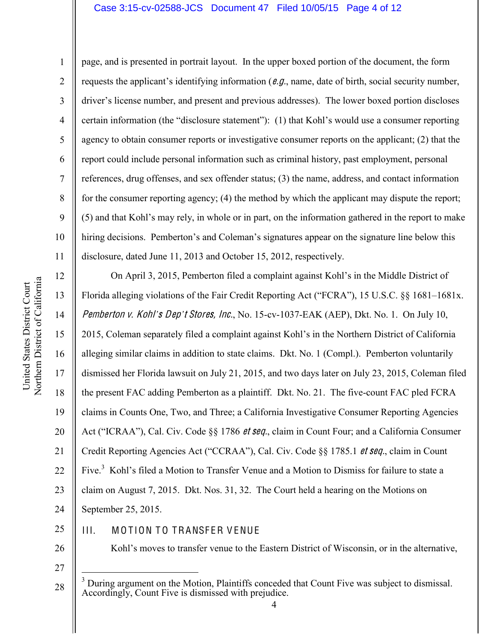### Case 3:15-cv-02588-JCS Document 47 Filed 10/05/15 Page 4 of 12

12

13

14

15

16

17

18

19

21

1 2 3 4 5 6 7 8 9 10 11 page, and is presented in portrait layout. In the upper boxed portion of the document, the form requests the applicant's identifying information ( $e.g.,$  name, date of birth, social security number, driver's license number, and present and previous addresses). The lower boxed portion discloses certain information (the "disclosure statement"): (1) that Kohl's would use a consumer reporting agency to obtain consumer reports or investigative consumer reports on the applicant; (2) that the report could include personal information such as criminal history, past employment, personal references, drug offenses, and sex offender status; (3) the name, address, and contact information for the consumer reporting agency; (4) the method by which the applicant may dispute the report; (5) and that Kohl's may rely, in whole or in part, on the information gathered in the report to make hiring decisions. Pemberton's and Coleman's signatures appear on the signature line below this disclosure, dated June 11, 2013 and October 15, 2012, respectively.

20 22 23 24 On April 3, 2015, Pemberton filed a complaint against Kohl's in the Middle District of Florida alleging violations of the Fair Credit Reporting Act ("FCRA"), 15 U.S.C.  $\S$ § 1681–1681x. Pemberton <sup>v</sup>. Kohl*¶*<sup>s</sup> Dep*¶*<sup>t</sup> Stores, Inc., No. 15-cv-1037-EAK (AEP), Dkt. No. 1. On July 10, 2015, Coleman separately filed a complaint against Kohl's in the Northern District of California alleging similar claims in addition to state claims. Dkt. No. 1 (Compl.). Pemberton voluntarily dismissed her Florida lawsuit on July 21, 2015, and two days later on July 23, 2015, Coleman filed the present FAC adding Pemberton as a plaintiff. Dkt. No. 21. The five-count FAC pled FCRA claims in Counts One, Two, and Three; a California Investigative Consumer Reporting Agencies Act ("ICRAA"), Cal. Civ. Code §§ 1786 *et seq.*, claim in Count Four; and a California Consumer Credit Reporting Agencies Act ("CCRAA"), Cal. Civ. Code §§ 1785.1 et seq., claim in Count Five.<sup>3</sup> Kohl's filed a Motion to Transfer Venue and a Motion to Dismiss for failure to state a claim on August 7, 2015. Dkt. Nos. 31, 32. The Court held a hearing on the Motions on September 25, 2015.

25 III. MOTION TO TRANSFER VENUE

26

27

28 <sup>3</sup> During argument on the Motion, Plaintiffs conceded that Count Five was subject to dismissal. Accordingly, Count Five is dismissed with prejudice.

Kohl's moves to transfer venue to the Eastern District of Wisconsin, or in the alternative,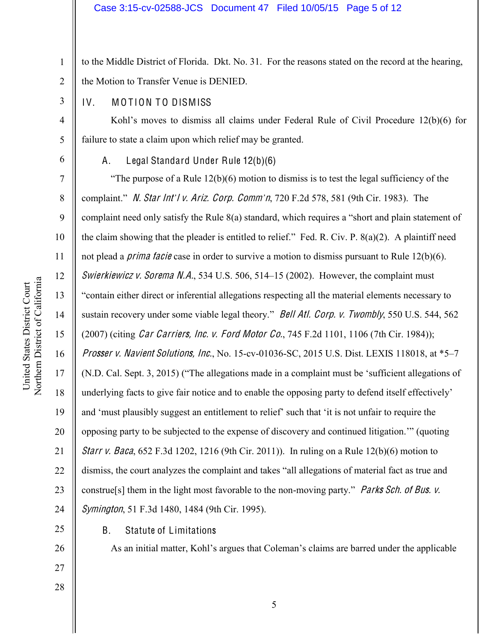1 2 to the Middle District of Florida. Dkt. No. 31. For the reasons stated on the record at the hearing, the Motion to Transfer Venue is DENIED.

## IV. MOTION TO DISMISS

Kohl's moves to dismiss all claims under Federal Rule of Civil Procedure 12(b)(6) for failure to state a claim upon which relief may be granted.

6

3

4

5

7

8

9

10

11

12

13

14

15

16

17

18

19

20

21

22

23

24

25

26

27

28

# A. Legal Standard Under Rule 12(b)(6)

"The purpose of a Rule  $12(b)(6)$  motion to dismiss is to test the legal sufficiency of the complaint." N. Star Int'l v. Ariz. Corp. Comm'n, 720 F.2d 578, 581 (9th Cir. 1983). The complaint need only satisfy the Rule  $8(a)$  standard, which requires a "short and plain statement of the claim showing that the pleader is entitled to relief." Fed. R. Civ. P.  $8(a)(2)$ . A plaintiff need not plead a *prima facie* case in order to survive a motion to dismiss pursuant to Rule  $12(b)(6)$ . Swierkiewicz v. Sorema N.A., 534 U.S. 506, 514–15 (2002). However, the complaint must "contain either direct or inferential allegations respecting all the material elements necessary to sustain recovery under some viable legal theory." Bell Atl. Corp. v. Twombly, 550 U.S. 544, 562 (2007) (citing Car Carriers, Inc. <sup>v</sup>. Ford Motor Co., 745 F.2d 1101, 1106 (7th Cir. 1984)); Prosser v. Navient Solutions, Inc., No. 15-cv-01036-SC, 2015 U.S. Dist. LEXIS 118018, at  $*5-7$  $(N.D. Cal. Sept. 3, 2015)$  ("The allegations made in a complaint must be 'sufficient allegations of underlying facts to give fair notice and to enable the opposing party to defend itself effectively' and 'must plausibly suggest an entitlement to relief' such that 'it is not unfair to require the opposing party to be subjected to the expense of discovery and continued litigation." (quoting Starr <sup>v</sup>. Baca, 652 F.3d 1202, 1216 (9th Cir. 2011)). In ruling on a Rule 12(b)(6) motion to dismiss, the court analyzes the complaint and takes "all allegations of material fact as true and construe[s] them in the light most favorable to the non-moving party." Parks Sch. of Bus. v. Symington, 51 F.3d 1480, 1484 (9th Cir. 1995).

B. Statute of Limitations

As an initial matter, Kohl's argues that Coleman's claims are barred under the applicable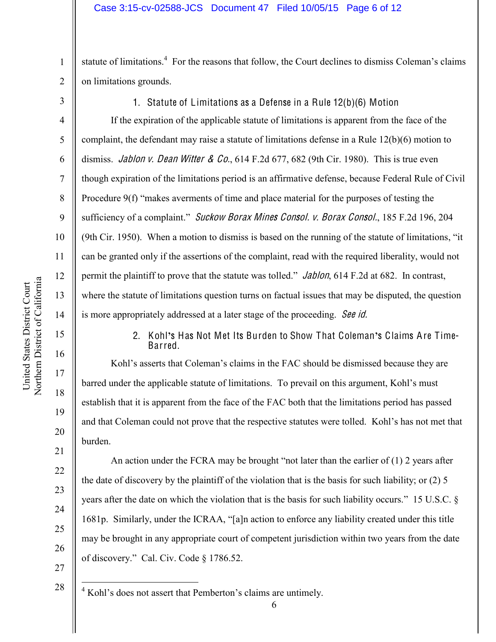1 2 statute of limitations.<sup>4</sup> For the reasons that follow, the Court declines to dismiss Coleman's claims on limitations grounds.

3

4

5

6

7

8

9

10

11

12

13

14

15

16

17

18

19

20

21

22

23

24

25

26

1. Statute of Limitations as a Defense in a Rule 12(b)(6) Motion

If the expiration of the applicable statute of limitations is apparent from the face of the complaint, the defendant may raise a statute of limitations defense in a Rule 12(b)(6) motion to dismiss. *Jablon v. Dean Witter & Co.*,  $614$  F.2d  $677$ ,  $682$  (9th Cir. 1980). This is true even though expiration of the limitations period is an affirmative defense, because Federal Rule of Civil Procedure  $9(f)$  "makes averments of time and place material for the purposes of testing the sufficiency of a complaint." Suckow Borax Mines Consol. v. Borax Consol., 185 F.2d 196, 204 (9th Cir. 1950). When a motion to dismiss is based on the running of the statute of limitations, "it" can be granted only if the assertions of the complaint, read with the required liberality, would not permit the plaintiff to prove that the statute was tolled." *Jablon*, 614 F.2d at 682. In contrast, where the statute of limitations question turns on factual issues that may be disputed, the question is more appropriately addressed at a later stage of the proceeding. See id.

> 2. Kohl**¶**s Has Not Met Its Burden to Show That Coleman**¶**s Claims Are Time-Barred.

Kohl's asserts that Coleman's claims in the FAC should be dismissed because they are barred under the applicable statute of limitations. To prevail on this argument, Kohl's must establish that it is apparent from the face of the FAC both that the limitations period has passed and that Coleman could not prove that the respective statutes were tolled. Kohl's has not met that burden.

An action under the FCRA may be brought "not later than the earlier of  $(1)$  2 years after the date of discovery by the plaintiff of the violation that is the basis for such liability; or (2) 5 years after the date on which the violation that is the basis for such liability occurs." 15 U.S.C. § 1681p. Similarly, under the ICRAA, "[a]n action to enforce any liability created under this title may be brought in any appropriate court of competent jurisdiction within two years from the date of discovery." Cal. Civ. Code § 1786.52.

- 27
- 28

 $4$  Kohl's does not assert that Pemberton's claims are untimely.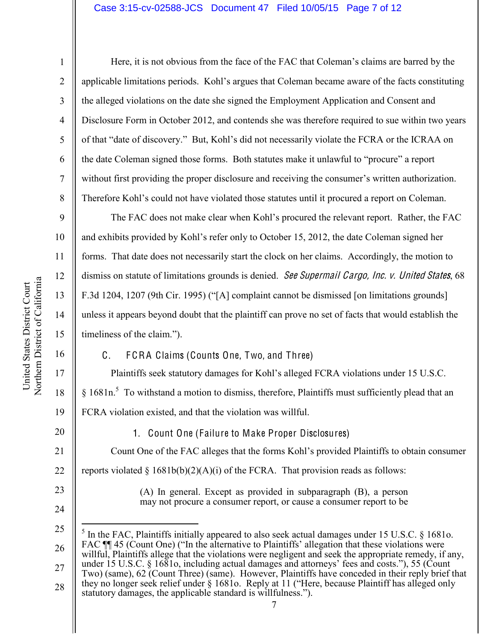### Case 3:15-cv-02588-JCS Document 47 Filed 10/05/15 Page 7 of 12

Here, it is not obvious from the face of the FAC that Coleman's claims are barred by the applicable limitations periods. Kohl's argues that Coleman became aware of the facts constituting the alleged violations on the date she signed the Employment Application and Consent and Disclosure Form in October 2012, and contends she was therefore required to sue within two years of that "date of discovery." But, Kohl's did not necessarily violate the FCRA or the ICRAA on the date Coleman signed those forms. Both statutes make it unlawful to "procure" a report without first providing the proper disclosure and receiving the consumer's written authorization. Therefore Kohl's could not have violated those statutes until it procured a report on Coleman.

The FAC does not make clear when Kohl's procured the relevant report. Rather, the FAC and exhibits provided by Kohl's refer only to October 15, 2012, the date Coleman signed her forms. That date does not necessarily start the clock on her claims. Accordingly, the motion to dismiss on statute of limitations grounds is denied. See Supermail Cargo, Inc. v. United States, 68 F.3d 1204, 1207 (9th Cir. 1995) ("[A] complaint cannot be dismissed [on limitations grounds] unless it appears beyond doubt that the plaintiff can prove no set of facts that would establish the timeliness of the claim.´).

C. F CRA Claims (Counts One, Two, and Three)

Plaintiffs seek statutory damages for Kohl's alleged FCRA violations under 15 U.S.C.  $§$  1681n.<sup>5</sup> To withstand a motion to dismiss, therefore, Plaintiffs must sufficiently plead that an FCRA violation existed, and that the violation was willful.

21 22

1

2

3

4

5

6

7

8

9

10

11

12

13

14

15

16

17

18

19

20

23

24

25

reports violated  $\S 1681b(b)(2)(A)(i)$  of the FCRA. That provision reads as follows:

1. Count One (Failure to Make Proper Disclosures)

(A) In general. Except as provided in subparagraph (B), a person may not procure a consumer report, or cause a consumer report to be

Count One of the FAC alleges that the forms Kohl's provided Plaintiffs to obtain consumer

<sup>26</sup> 5 In the FAC, Plaintiffs initially appeared to also seek actual damages under 15 U.S.C. § 1681o. FAC  $\P$  45 (Count One) ("In the alternative to Plaintiffs' allegation that these violations were willful, Plaintiffs allege that the violations were negligent and seek the appropriate remedy, if any,

<sup>27</sup> 28 under 15 U.S.C. § 1681o, including actual damages and attorneys' fees and costs."), 55 (Count Two) (same), 62 (Count Three) (same). However, Plaintiffs have conceded in their reply brief that they no longer seek relief under  $\S$  1681o. Reply at 11 ("Here, because Plaintiff has alleged only statutory damages, the applicable standard is willfulness.").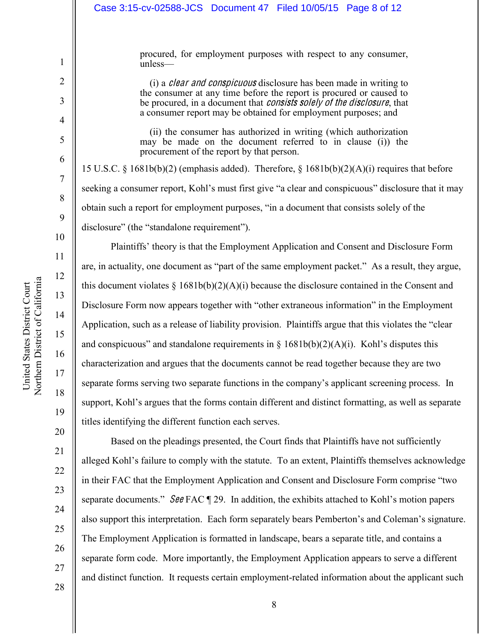| Case 3:15-cv-02588-JCS Document 47 Filed 10/05/15 Page 8 of 12                                                                                                                                                                                                                                        |  |  |  |  |  |
|-------------------------------------------------------------------------------------------------------------------------------------------------------------------------------------------------------------------------------------------------------------------------------------------------------|--|--|--|--|--|
|                                                                                                                                                                                                                                                                                                       |  |  |  |  |  |
| procured, for employment purposes with respect to any consumer,<br>unless-                                                                                                                                                                                                                            |  |  |  |  |  |
| (i) a <i>clear and conspicuous</i> disclosure has been made in writing to<br>the consumer at any time before the report is procured or caused to<br>be procured, in a document that <i>consists solely of the disclosure</i> , that<br>a consumer report may be obtained for employment purposes; and |  |  |  |  |  |
| (ii) the consumer has authorized in writing (which authorization<br>may be made on the document referred to in clause (i) the<br>procurement of the report by that person.                                                                                                                            |  |  |  |  |  |
| 15 U.S.C. § 1681b(b)(2) (emphasis added). Therefore, § 1681b(b)(2)(A)(i) requires that before                                                                                                                                                                                                         |  |  |  |  |  |
| seeking a consumer report, Kohl's must first give "a clear and conspicuous" disclosure that it may                                                                                                                                                                                                    |  |  |  |  |  |
| obtain such a report for employment purposes, "in a document that consists solely of the                                                                                                                                                                                                              |  |  |  |  |  |
| disclosure" (the "standalone requirement").                                                                                                                                                                                                                                                           |  |  |  |  |  |
| Plaintiffs' theory is that the Employment Application and Consent and Disclosure Form                                                                                                                                                                                                                 |  |  |  |  |  |
| are, in actuality, one document as "part of the same employment packet." As a result, they argue,                                                                                                                                                                                                     |  |  |  |  |  |
| this document violates $\S$ 1681b(b)(2)(A)(i) because the disclosure contained in the Consent and                                                                                                                                                                                                     |  |  |  |  |  |
| Disclosure Form now appears together with "other extraneous information" in the Employment                                                                                                                                                                                                            |  |  |  |  |  |
| Application, such as a release of liability provision. Plaintiffs argue that this violates the "clear                                                                                                                                                                                                 |  |  |  |  |  |
| and conspicuous" and standalone requirements in $\S$ 1681b(b)(2)(A)(i). Kohl's disputes this                                                                                                                                                                                                          |  |  |  |  |  |
| characterization and argues that the documents cannot be read together because they are two                                                                                                                                                                                                           |  |  |  |  |  |
| separate forms serving two separate functions in the company's applicant screening process. In                                                                                                                                                                                                        |  |  |  |  |  |
| support, Kohl's argues that the forms contain different and distinct formatting, as well as separate                                                                                                                                                                                                  |  |  |  |  |  |
| titles identifying the different function each serves.                                                                                                                                                                                                                                                |  |  |  |  |  |
| Based on the pleadings presented, the Court finds that Plaintiffs have not sufficiently                                                                                                                                                                                                               |  |  |  |  |  |
| alleged Kohl's failure to comply with the statute. To an extent, Plaintiffs themselves acknowledge                                                                                                                                                                                                    |  |  |  |  |  |
| in their EAC that the Employment Application and Consent and Disclosure Form comprise "two                                                                                                                                                                                                            |  |  |  |  |  |

in their FAC that the Employment Application and Consent and Disclosure Form comprise "two separate documents."  $\mathcal{S}\theta\theta$  FAC  $\P$  29. In addition, the exhibits attached to Kohl's motion papers also support this interpretation. Each form separately bears Pemberton's and Coleman's signature. The Employment Application is formatted in landscape, bears a separate title, and contains a separate form code. More importantly, the Employment Application appears to serve a different and distinct function. It requests certain employment-related information about the applicant such

1

2

3

4

5

6

7

8

9

10

11

12

13

14

15

16

17

18

19

20

21

22

23

24

25

26

27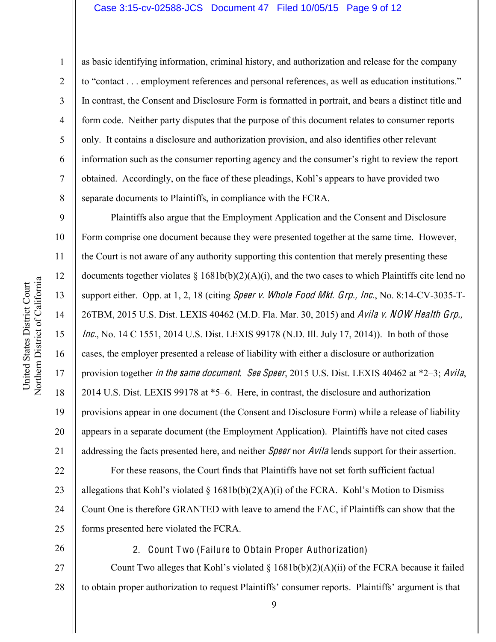#### Case 3:15-cv-02588-JCS Document 47 Filed 10/05/15 Page 9 of 12

1

2

3

4

5

6

7

8

9

10

11

12

13

14

15

16

17

18

19

20

21

as basic identifying information, criminal history, and authorization and release for the company to "contact . . . employment references and personal references, as well as education institutions." In contrast, the Consent and Disclosure Form is formatted in portrait, and bears a distinct title and form code. Neither party disputes that the purpose of this document relates to consumer reports only. It contains a disclosure and authorization provision, and also identifies other relevant information such as the consumer reporting agency and the consumer's right to review the report obtained. Accordingly, on the face of these pleadings, Kohl's appears to have provided two separate documents to Plaintiffs, in compliance with the FCRA.

Plaintiffs also argue that the Employment Application and the Consent and Disclosure Form comprise one document because they were presented together at the same time. However, the Court is not aware of any authority supporting this contention that merely presenting these documents together violates  $\S$  1681b(b)(2)(A)(i), and the two cases to which Plaintiffs cite lend no support either. Opp. at 1, 2, 18 (citing *Speer v. Whole Food Mkt. Grp., Inc.*, No. 8:14-CV-3035-T-26TBM, 2015 U.S. Dist. LEXIS 40462 (M.D. Fla. Mar. 30, 2015) and Avila <sup>v</sup>. NOW Health Grp., Inc., No. 14 C 1551, 2014 U.S. Dist. LEXIS 99178 (N.D. Ill. July 17, 2014)). In both of those cases, the employer presented a release of liability with either a disclosure or authorization provision together in the same document. See Speer, 2015 U.S. Dist. LEXIS 40462 at  $*2-3$ ; Avila, 2014 U.S. Dist. LEXIS 99178 at \*5–6. Here, in contrast, the disclosure and authorization provisions appear in one document (the Consent and Disclosure Form) while a release of liability appears in a separate document (the Employment Application). Plaintiffs have not cited cases addressing the facts presented here, and neither *Speer* nor *Avila* lends support for their assertion.

22 23 24 25 For these reasons, the Court finds that Plaintiffs have not set forth sufficient factual allegations that Kohl's violated § 1681b(b)(2)(A)(i) of the FCRA. Kohl's Motion to Dismiss Count One is therefore GRANTED with leave to amend the FAC, if Plaintiffs can show that the forms presented here violated the FCRA.

26

2. Count Two (Failure to Obtain Proper Authorization)

27 28 Count Two alleges that Kohl's violated  $\S$  1681b(b)(2)(A)(ii) of the FCRA because it failed to obtain proper authorization to request Plaintiffs' consumer reports. Plaintiffs' argument is that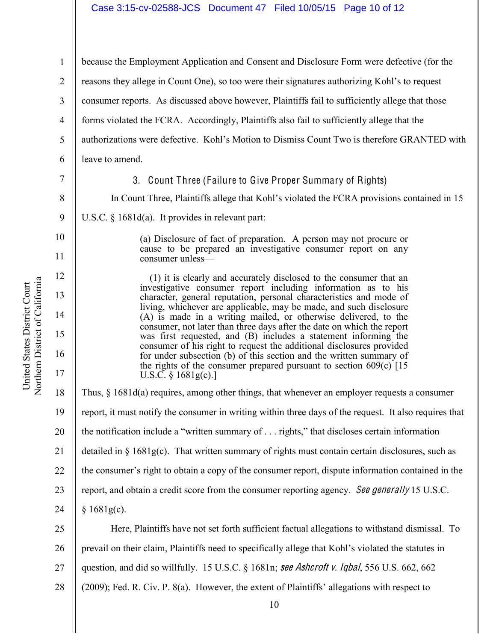Northern District of California Northern District of California United States District Court United States District Court

1 2 3 4 5 6 7 8 9 10 11 12 13 14 15 16 17 18 19 20 21 22 because the Employment Application and Consent and Disclosure Form were defective (for the reasons they allege in Count One), so too were their signatures authorizing Kohl's to request consumer reports. As discussed above however, Plaintiffs fail to sufficiently allege that those forms violated the FCRA. Accordingly, Plaintiffs also fail to sufficiently allege that the authorizations were defective. Kohl's Motion to Dismiss Count Two is therefore GRANTED with leave to amend. 3. Count Three (Failure to Give Proper Summary of Rights) In Count Three, Plaintiffs allege that Kohl's violated the FCRA provisions contained in 15 U.S.C. § 1681d(a). It provides in relevant part: (a) Disclosure of fact of preparation. A person may not procure or cause to be prepared an investigative consumer report on any consumer unless- (1) it is clearly and accurately disclosed to the consumer that an investigative consumer report including information as to his character, general reputation, personal characteristics and mode of living, whichever are applicable, may be made, and such disclosure (A) is made in a writing mailed, or otherwise delivered, to the consumer, not later than three days after the date on which the report was first requested, and (B) includes a statement informing the consumer of his right to request the additional disclosures provided for under subsection (b) of this section and the written summary of the rights of the consumer prepared pursuant to section 609(c) [15 U.S.C. § 1681g(c).] Thus, § 1681d(a) requires, among other things, that whenever an employer requests a consumer report, it must notify the consumer in writing within three days of the request. It also requires that the notification include a "written summary of  $\ldots$  rights," that discloses certain information detailed in  $\S 1681g(c)$ . That written summary of rights must contain certain disclosures, such as the consumer's right to obtain a copy of the consumer report, dispute information contained in the

23 report, and obtain a credit score from the consumer reporting agency. See generally 15 U.S.C.

 $§ 1681g(c).$ 

24

25 26 27 28 Here, Plaintiffs have not set forth sufficient factual allegations to withstand dismissal. To prevail on their claim, Plaintiffs need to specifically allege that Kohl's violated the statutes in question, and did so willfully. 15 U.S.C. § 1681n; <sup>s</sup>ee Ashcroft <sup>v</sup>. Iqbal, 556 U.S. 662, 662 (2009); Fed. R. Civ. P. 8(a). However, the extent of Plaintiffs' allegations with respect to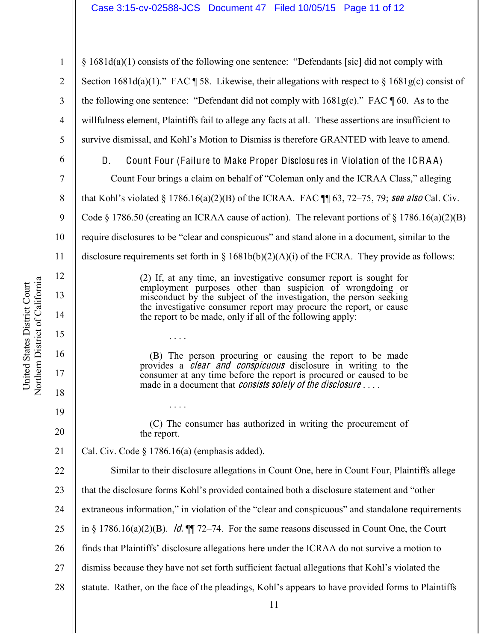1 2  $\S$  1681d(a)(1) consists of the following one sentence: "Defendants [sic] did not comply with Section 1681d(a)(1)." FAC  $\parallel$  58. Likewise, their allegations with respect to § 1681g(c) consist of the following one sentence: "Defendant did not comply with  $1681g(c)$ ." FAC  $\P$  60. As to the willfulness element, Plaintiffs fail to allege any facts at all. These assertions are insufficient to survive dismissal, and Kohl's Motion to Dismiss is therefore GRANTED with leave to amend.

11 3 4 5 19 20 21 22 23 24 25 26 27 28 D. Count Four (Failure to Make Proper Disclosures in Violation of the ICRA A) Count Four brings a claim on behalf of "Coleman only and the ICRAA Class," alleging that Kohl's violated § 1786.16(a)(2)(B) of the ICRAA. FAC  $\P$  63, 72–75, 79; see also Cal. Civ. Code § 1786.50 (creating an ICRAA cause of action). The relevant portions of § 1786.16(a)(2)(B) require disclosures to be "clear and conspicuous" and stand alone in a document, similar to the disclosure requirements set forth in  $\S$  1681b(b)(2)(A)(i) of the FCRA. They provide as follows: (2) If, at any time, an investigative consumer report is sought for employment purposes other than suspicion of wrongdoing or misconduct by the subject of the investigation, the person seeking the investigative consumer report may procure the report, or cause the report to be made, only if all of the following apply: . . . . (B) The person procuring or causing the report to be made provides a clear and <sup>c</sup>on<sup>s</sup>pi<sup>c</sup>uou<sup>s</sup> disclosure in writing to the consumer at any time before the report is procured or caused to be made in a document that *consists solely of the disclosure* . . . . . . . . (C) The consumer has authorized in writing the procurement of the report. Cal. Civ. Code § 1786.16(a) (emphasis added). Similar to their disclosure allegations in Count One, here in Count Four, Plaintiffs allege that the disclosure forms Kohl's provided contained both a disclosure statement and "other extraneous information," in violation of the "clear and conspicuous" and standalone requirements in § 1786.16(a)(2)(B). *Id.*  $\P$  72–74. For the same reasons discussed in Count One, the Court finds that Plaintiffs' disclosure allegations here under the ICRAA do not survive a motion to dismiss because they have not set forth sufficient factual allegations that Kohl's violated the statute. Rather, on the face of the pleadings, Kohl's appears to have provided forms to Plaintiffs

Northern District of California Northern District of California United States District Court United States District Court